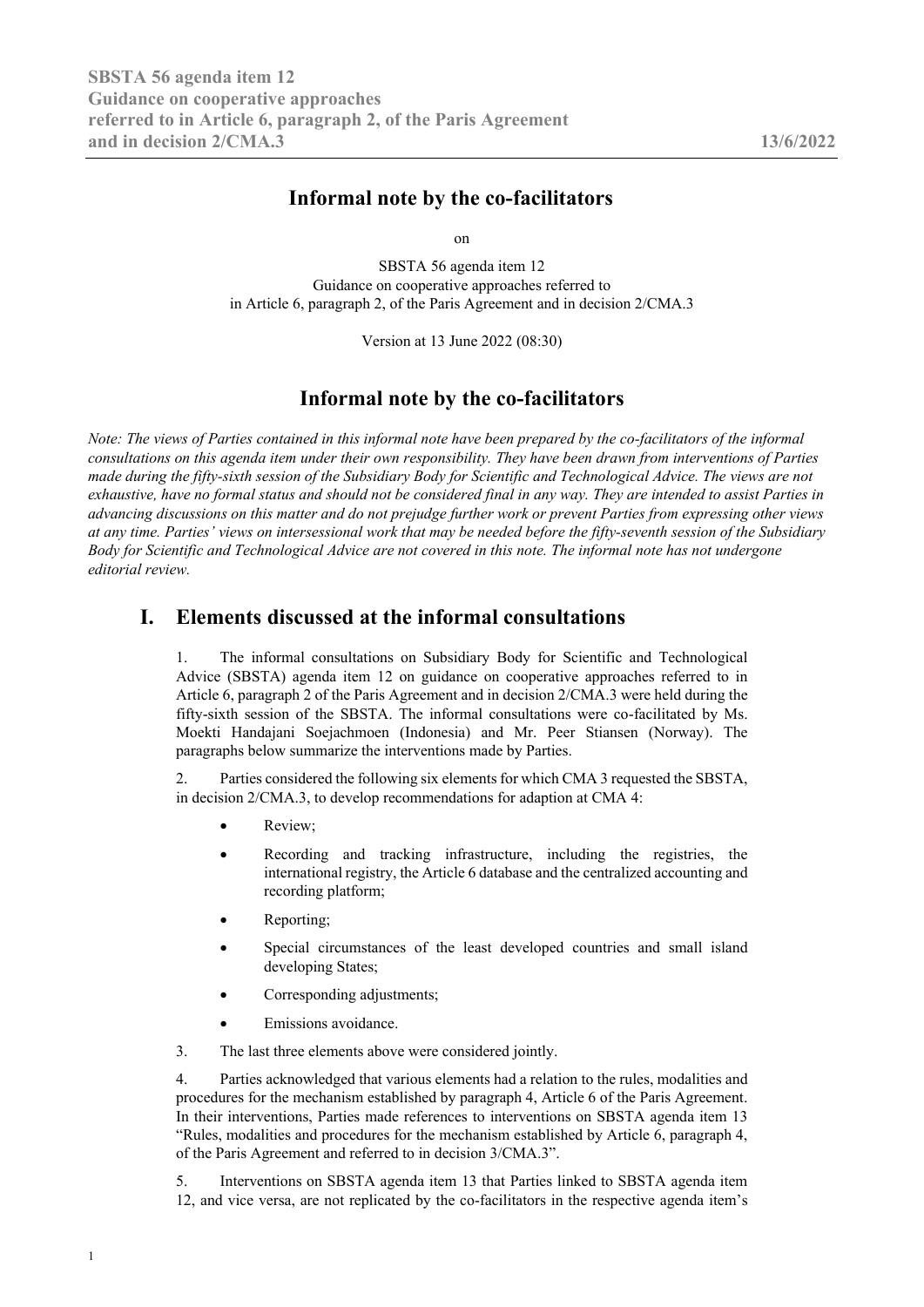# **Informal note by the co-facilitators**

on

SBSTA 56 agenda item 12 Guidance on cooperative approaches referred to in Article 6, paragraph 2, of the Paris Agreement and in decision 2/CMA.3

Version at 13 June 2022 (08:30)

# **Informal note by the co-facilitators**

*Note: The views of Parties contained in this informal note have been prepared by the co-facilitators of the informal consultations on this agenda item under their own responsibility. They have been drawn from interventions of Parties made during the fifty-sixth session of the Subsidiary Body for Scientific and Technological Advice. The views are not exhaustive, have no formal status and should not be considered final in any way. They are intended to assist Parties in advancing discussions on this matter and do not prejudge further work or prevent Parties from expressing other views at any time. Parties' views on intersessional work that may be needed before the fifty-seventh session of the Subsidiary Body for Scientific and Technological Advice are not covered in this note. The informal note has not undergone editorial review.*

### **I. Elements discussed at the informal consultations**

1. The informal consultations on Subsidiary Body for Scientific and Technological Advice (SBSTA) agenda item 12 on guidance on cooperative approaches referred to in Article 6, paragraph 2 of the Paris Agreement and in decision 2/CMA.3 were held during the fifty-sixth session of the SBSTA. The informal consultations were co-facilitated by Ms. Moekti Handajani Soejachmoen (Indonesia) and Mr. Peer Stiansen (Norway). The paragraphs below summarize the interventions made by Parties.

2. Parties considered the following six elements for which CMA 3 requested the SBSTA, in decision 2/CMA.3, to develop recommendations for adaption at CMA 4:

- Review;
- Recording and tracking infrastructure, including the registries, the international registry, the Article 6 database and the centralized accounting and recording platform;
- Reporting;
- Special circumstances of the least developed countries and small island developing States;
- Corresponding adjustments:
- Emissions avoidance.
- 3. The last three elements above were considered jointly.

4. Parties acknowledged that various elements had a relation to the rules, modalities and procedures for the mechanism established by paragraph 4, Article 6 of the Paris Agreement. In their interventions, Parties made references to interventions on SBSTA agenda item 13 "Rules, modalities and procedures for the mechanism established by Article 6, paragraph 4, of the Paris Agreement and referred to in decision 3/CMA.3".

5. Interventions on SBSTA agenda item 13 that Parties linked to SBSTA agenda item 12, and vice versa, are not replicated by the co-facilitators in the respective agenda item's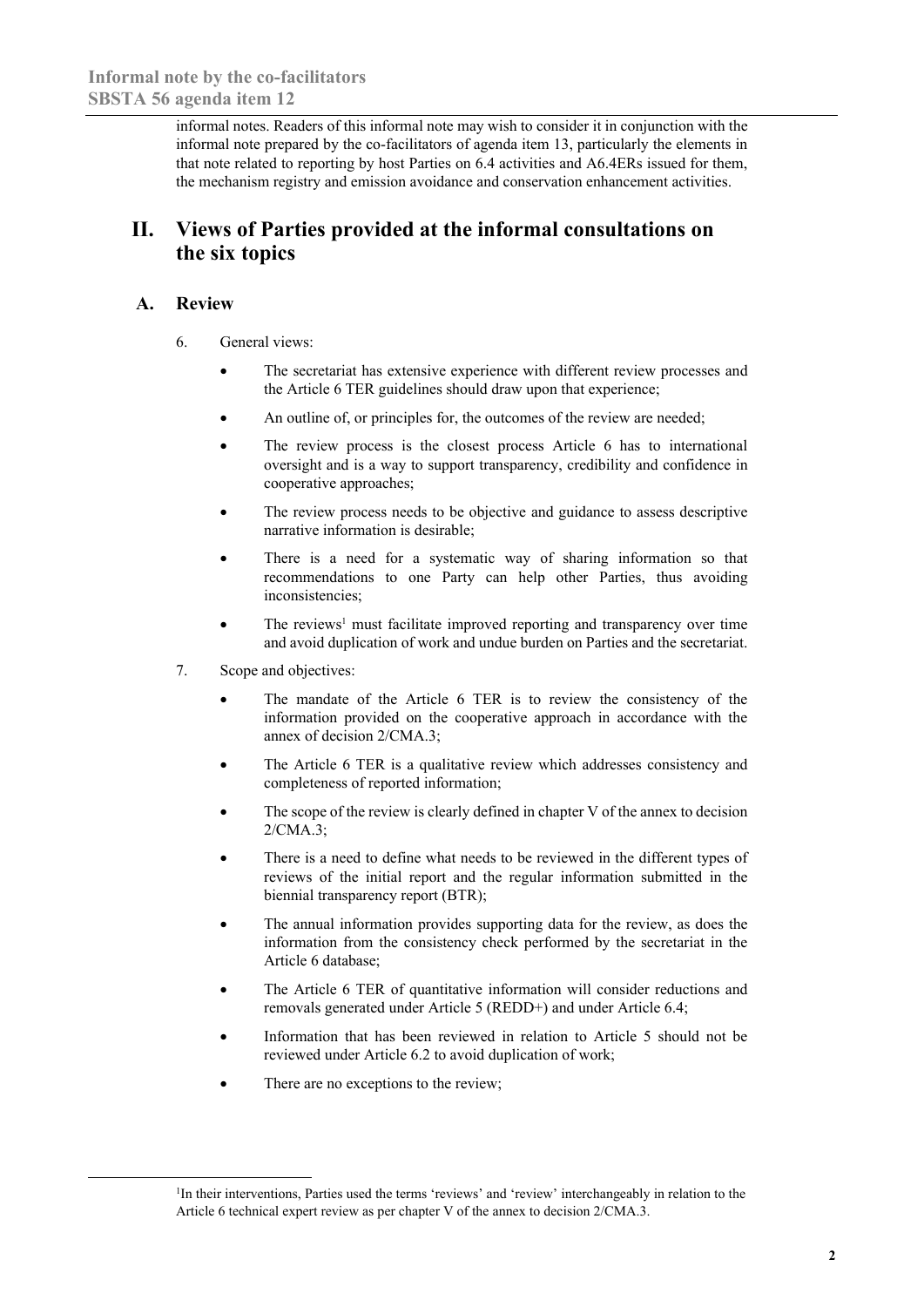informal notes. Readers of this informal note may wish to consider it in conjunction with the informal note prepared by the co-facilitators of agenda item 13, particularly the elements in that note related to reporting by host Parties on 6.4 activities and A6.4ERs issued for them, the mechanism registry and emission avoidance and conservation enhancement activities.

## **II. Views of Parties provided at the informal consultations on the six topics**

### **A. Review**

- 6. General views:
	- The secretariat has extensive experience with different review processes and the Article 6 TER guidelines should draw upon that experience;
	- An outline of, or principles for, the outcomes of the review are needed;
	- The review process is the closest process Article 6 has to international oversight and is a way to support transparency, credibility and confidence in cooperative approaches;
	- The review process needs to be objective and guidance to assess descriptive narrative information is desirable;
	- There is a need for a systematic way of sharing information so that recommendations to one Party can help other Parties, thus avoiding inconsistencies;
	- The reviews<sup>1</sup> must facilitate improved reporting and transparency over time and avoid duplication of work and undue burden on Parties and the secretariat.
- 7. Scope and objectives:
	- The mandate of the Article 6 TER is to review the consistency of the information provided on the cooperative approach in accordance with the annex of decision 2/CMA.3;
	- The Article 6 TER is a qualitative review which addresses consistency and completeness of reported information;
	- The scope of the review is clearly defined in chapter V of the annex to decision 2/CMA.3;
	- There is a need to define what needs to be reviewed in the different types of reviews of the initial report and the regular information submitted in the biennial transparency report (BTR);
	- The annual information provides supporting data for the review, as does the information from the consistency check performed by the secretariat in the Article 6 database;
	- The Article 6 TER of quantitative information will consider reductions and removals generated under Article 5 (REDD+) and under Article 6.4;
	- Information that has been reviewed in relation to Article 5 should not be reviewed under Article 6.2 to avoid duplication of work;
	- There are no exceptions to the review;

<sup>&</sup>lt;sup>1</sup>In their interventions, Parties used the terms 'reviews' and 'review' interchangeably in relation to the Article 6 technical expert review as per chapter V of the annex to decision 2/CMA.3.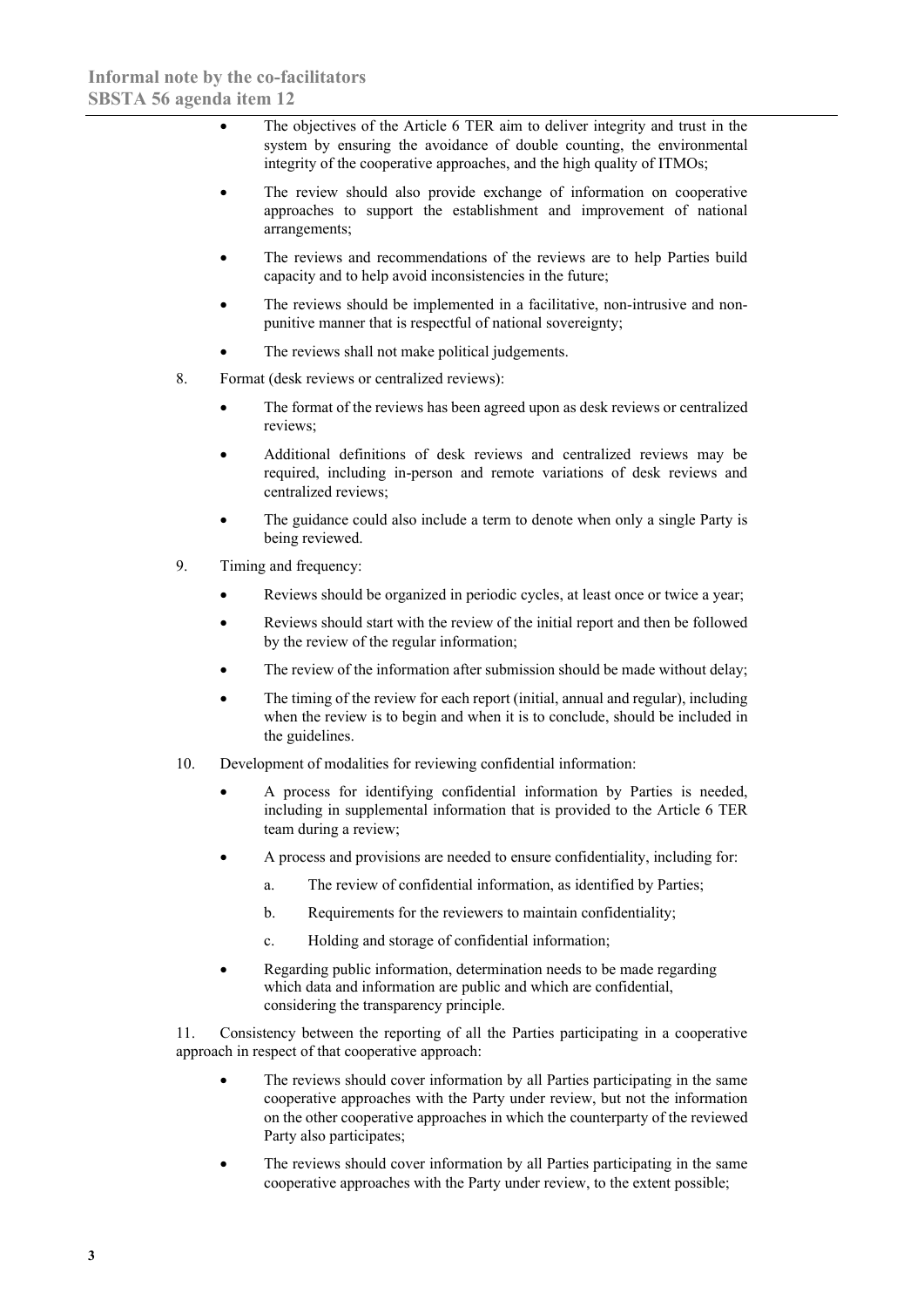- The objectives of the Article 6 TER aim to deliver integrity and trust in the system by ensuring the avoidance of double counting, the environmental integrity of the cooperative approaches, and the high quality of ITMOs;
- The review should also provide exchange of information on cooperative approaches to support the establishment and improvement of national arrangements;
- The reviews and recommendations of the reviews are to help Parties build capacity and to help avoid inconsistencies in the future;
- The reviews should be implemented in a facilitative, non-intrusive and nonpunitive manner that is respectful of national sovereignty;
- The reviews shall not make political judgements.
- 8. Format (desk reviews or centralized reviews):
	- The format of the reviews has been agreed upon as desk reviews or centralized reviews;
	- Additional definitions of desk reviews and centralized reviews may be required, including in-person and remote variations of desk reviews and centralized reviews;
	- The guidance could also include a term to denote when only a single Party is being reviewed.
- 9. Timing and frequency:
	- Reviews should be organized in periodic cycles, at least once or twice a year;
	- Reviews should start with the review of the initial report and then be followed by the review of the regular information;
	- The review of the information after submission should be made without delay;
	- The timing of the review for each report (initial, annual and regular), including when the review is to begin and when it is to conclude, should be included in the guidelines.
- 10. Development of modalities for reviewing confidential information:
	- A process for identifying confidential information by Parties is needed, including in supplemental information that is provided to the Article 6 TER team during a review;
	- A process and provisions are needed to ensure confidentiality, including for:
		- a. The review of confidential information, as identified by Parties;
		- b. Requirements for the reviewers to maintain confidentiality;
		- c. Holding and storage of confidential information;
	- Regarding public information, determination needs to be made regarding which data and information are public and which are confidential, considering the transparency principle.

11. Consistency between the reporting of all the Parties participating in a cooperative approach in respect of that cooperative approach:

- The reviews should cover information by all Parties participating in the same cooperative approaches with the Party under review, but not the information on the other cooperative approaches in which the counterparty of the reviewed Party also participates;
- The reviews should cover information by all Parties participating in the same cooperative approaches with the Party under review, to the extent possible;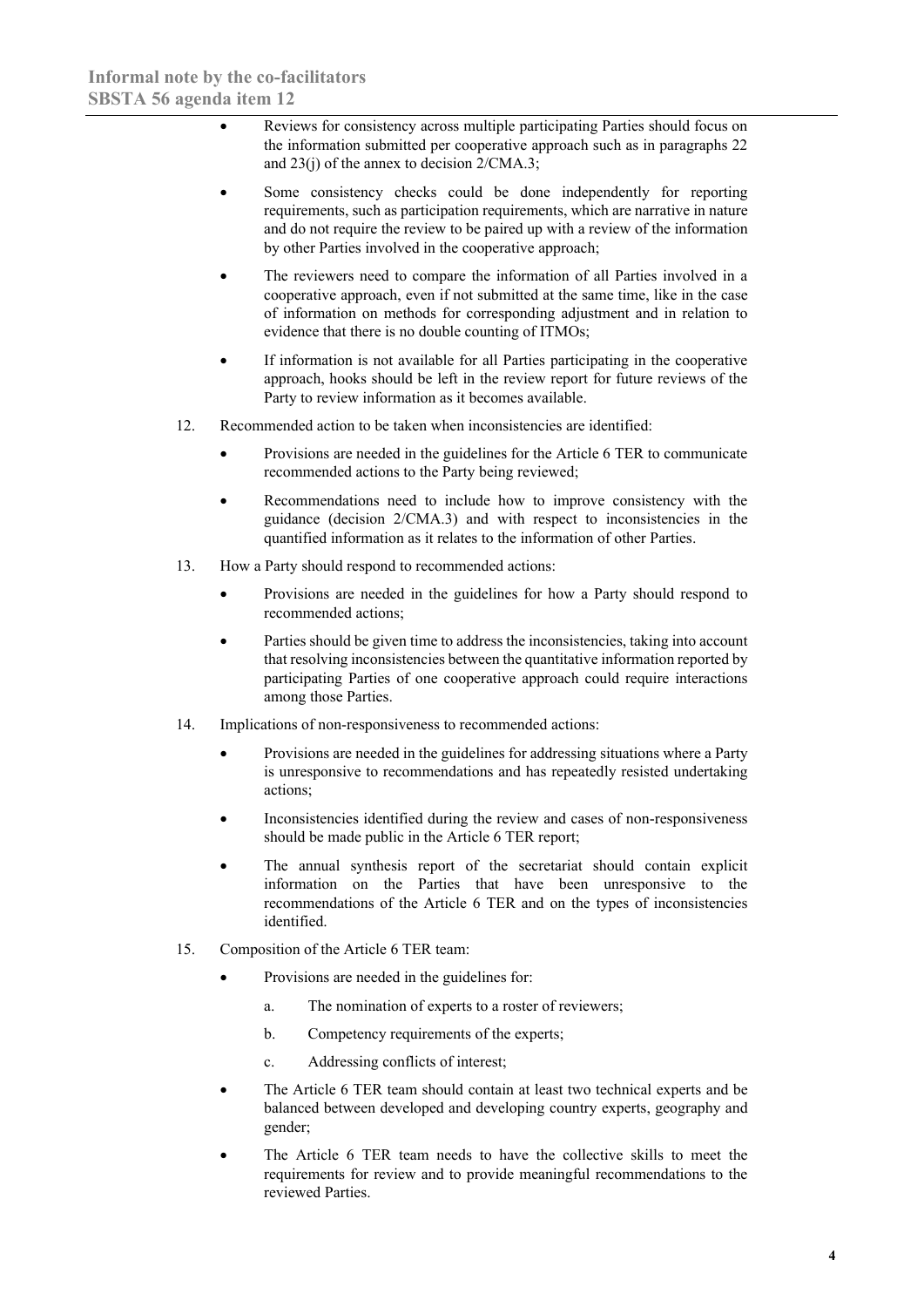- Reviews for consistency across multiple participating Parties should focus on the information submitted per cooperative approach such as in paragraphs 22 and 23(j) of the annex to decision 2/CMA.3;
- Some consistency checks could be done independently for reporting requirements, such as participation requirements, which are narrative in nature and do not require the review to be paired up with a review of the information by other Parties involved in the cooperative approach;
- The reviewers need to compare the information of all Parties involved in a cooperative approach, even if not submitted at the same time, like in the case of information on methods for corresponding adjustment and in relation to evidence that there is no double counting of ITMOs;
- If information is not available for all Parties participating in the cooperative approach, hooks should be left in the review report for future reviews of the Party to review information as it becomes available.
- 12. Recommended action to be taken when inconsistencies are identified:
	- Provisions are needed in the guidelines for the Article 6 TER to communicate recommended actions to the Party being reviewed;
	- Recommendations need to include how to improve consistency with the guidance (decision 2/CMA.3) and with respect to inconsistencies in the quantified information as it relates to the information of other Parties.
- 13. How a Party should respond to recommended actions:
	- Provisions are needed in the guidelines for how a Party should respond to recommended actions;
	- Parties should be given time to address the inconsistencies, taking into account that resolving inconsistencies between the quantitative information reported by participating Parties of one cooperative approach could require interactions among those Parties.
- 14. Implications of non-responsiveness to recommended actions:
	- Provisions are needed in the guidelines for addressing situations where a Party is unresponsive to recommendations and has repeatedly resisted undertaking actions;
	- Inconsistencies identified during the review and cases of non-responsiveness should be made public in the Article 6 TER report;
	- The annual synthesis report of the secretariat should contain explicit information on the Parties that have been unresponsive to the recommendations of the Article 6 TER and on the types of inconsistencies identified.
- 15. Composition of the Article 6 TER team:
	- Provisions are needed in the guidelines for:
		- a. The nomination of experts to a roster of reviewers;
		- b. Competency requirements of the experts;
		- c. Addressing conflicts of interest;
	- The Article 6 TER team should contain at least two technical experts and be balanced between developed and developing country experts, geography and gender;
	- The Article 6 TER team needs to have the collective skills to meet the requirements for review and to provide meaningful recommendations to the reviewed Parties.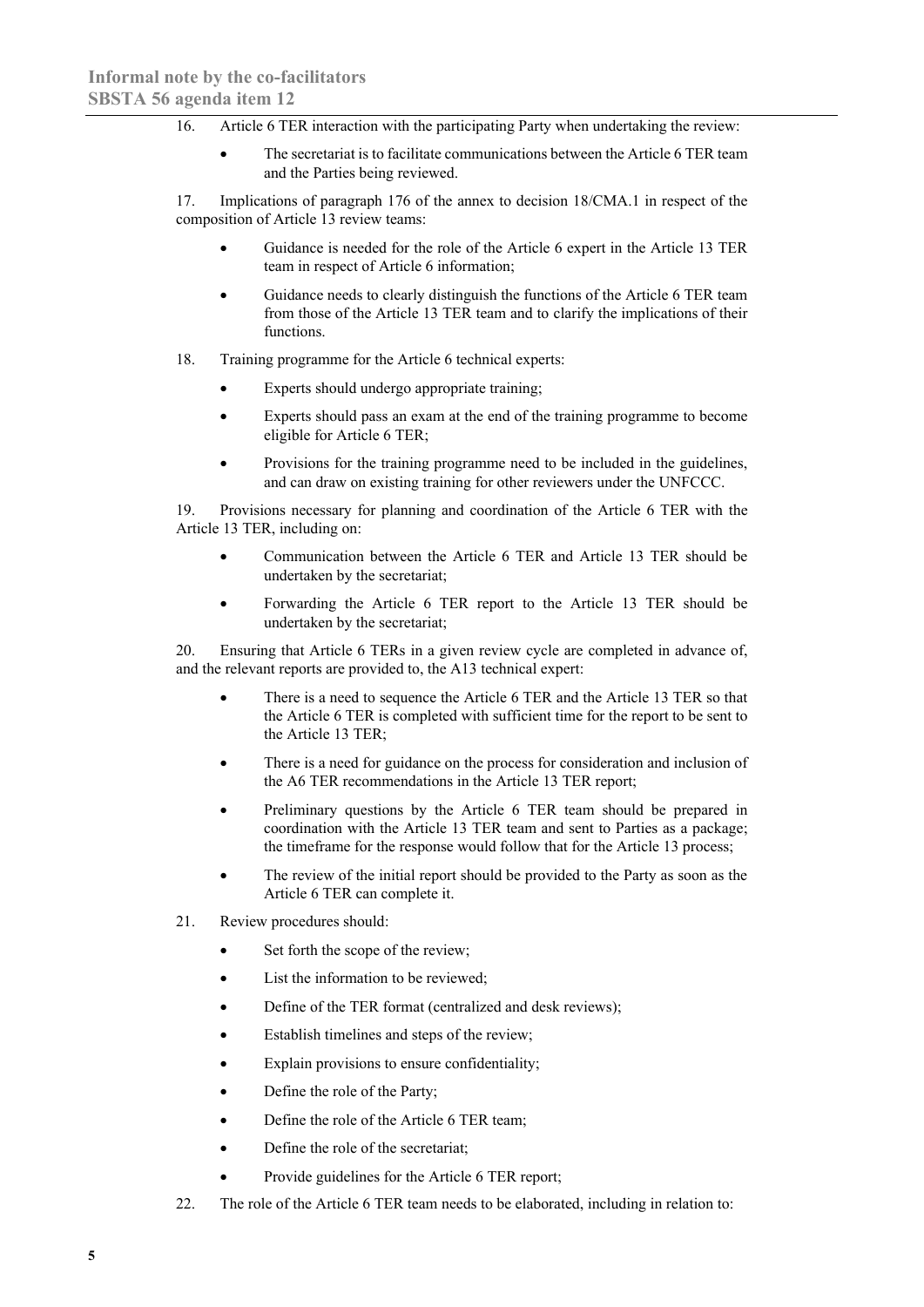- 16. Article 6 TER interaction with the participating Party when undertaking the review:
	- The secretariat is to facilitate communications between the Article 6 TER team and the Parties being reviewed.

17. Implications of paragraph 176 of the annex to decision 18/CMA.1 in respect of the composition of Article 13 review teams:

- Guidance is needed for the role of the Article 6 expert in the Article 13 TER team in respect of Article 6 information;
- Guidance needs to clearly distinguish the functions of the Article 6 TER team from those of the Article 13 TER team and to clarify the implications of their functions.

18. Training programme for the Article 6 technical experts:

- Experts should undergo appropriate training;
- Experts should pass an exam at the end of the training programme to become eligible for Article 6 TER;
- Provisions for the training programme need to be included in the guidelines, and can draw on existing training for other reviewers under the UNFCCC.

19. Provisions necessary for planning and coordination of the Article 6 TER with the Article 13 TER, including on:

- Communication between the Article 6 TER and Article 13 TER should be undertaken by the secretariat;
- Forwarding the Article 6 TER report to the Article 13 TER should be undertaken by the secretariat;

20. Ensuring that Article 6 TERs in a given review cycle are completed in advance of, and the relevant reports are provided to, the A13 technical expert:

- There is a need to sequence the Article 6 TER and the Article 13 TER so that the Article 6 TER is completed with sufficient time for the report to be sent to the Article 13 TER;
- There is a need for guidance on the process for consideration and inclusion of the A6 TER recommendations in the Article 13 TER report;
- Preliminary questions by the Article 6 TER team should be prepared in coordination with the Article 13 TER team and sent to Parties as a package; the timeframe for the response would follow that for the Article 13 process;
- The review of the initial report should be provided to the Party as soon as the Article 6 TER can complete it.
- 21. Review procedures should:
	- Set forth the scope of the review;
	- List the information to be reviewed;
	- Define of the TER format (centralized and desk reviews);
	- Establish timelines and steps of the review;
	- Explain provisions to ensure confidentiality;
	- Define the role of the Party;
	- Define the role of the Article 6 TER team:
	- Define the role of the secretariat;
	- Provide guidelines for the Article 6 TER report;
- 22. The role of the Article 6 TER team needs to be elaborated, including in relation to: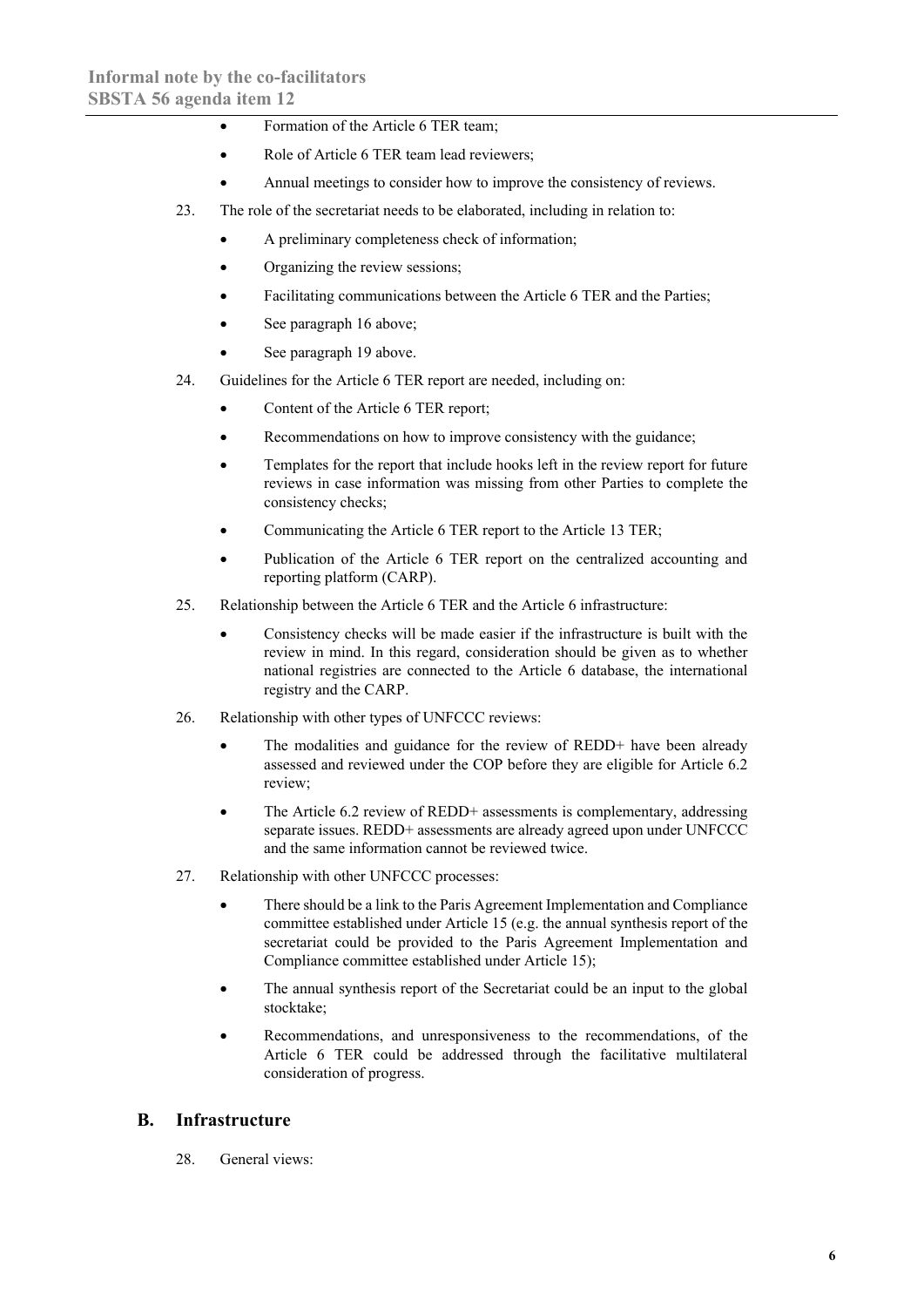- Formation of the Article 6 TER team;
- Role of Article 6 TER team lead reviewers:
- Annual meetings to consider how to improve the consistency of reviews.
- 23. The role of the secretariat needs to be elaborated, including in relation to:
	- A preliminary completeness check of information;
	- Organizing the review sessions;
	- Facilitating communications between the Article 6 TER and the Parties;
	- See paragraph 16 above;
	- See paragraph 19 above.
- 24. Guidelines for the Article 6 TER report are needed, including on:
	- Content of the Article 6 TER report;
	- Recommendations on how to improve consistency with the guidance;
	- Templates for the report that include hooks left in the review report for future reviews in case information was missing from other Parties to complete the consistency checks;
	- Communicating the Article 6 TER report to the Article 13 TER;
	- Publication of the Article 6 TER report on the centralized accounting and reporting platform (CARP).
- 25. Relationship between the Article 6 TER and the Article 6 infrastructure:
	- Consistency checks will be made easier if the infrastructure is built with the review in mind. In this regard, consideration should be given as to whether national registries are connected to the Article 6 database, the international registry and the CARP.
- 26. Relationship with other types of UNFCCC reviews:
	- The modalities and guidance for the review of REDD+ have been already assessed and reviewed under the COP before they are eligible for Article 6.2 review;
	- The Article 6.2 review of REDD+ assessments is complementary, addressing separate issues. REDD+ assessments are already agreed upon under UNFCCC and the same information cannot be reviewed twice.
- 27. Relationship with other UNFCCC processes:
	- There should be a link to the Paris Agreement Implementation and Compliance committee established under Article 15 (e.g. the annual synthesis report of the secretariat could be provided to the Paris Agreement Implementation and Compliance committee established under Article 15);
	- The annual synthesis report of the Secretariat could be an input to the global stocktake;
	- Recommendations, and unresponsiveness to the recommendations, of the Article 6 TER could be addressed through the facilitative multilateral consideration of progress.

#### **B. Infrastructure**

28. General views: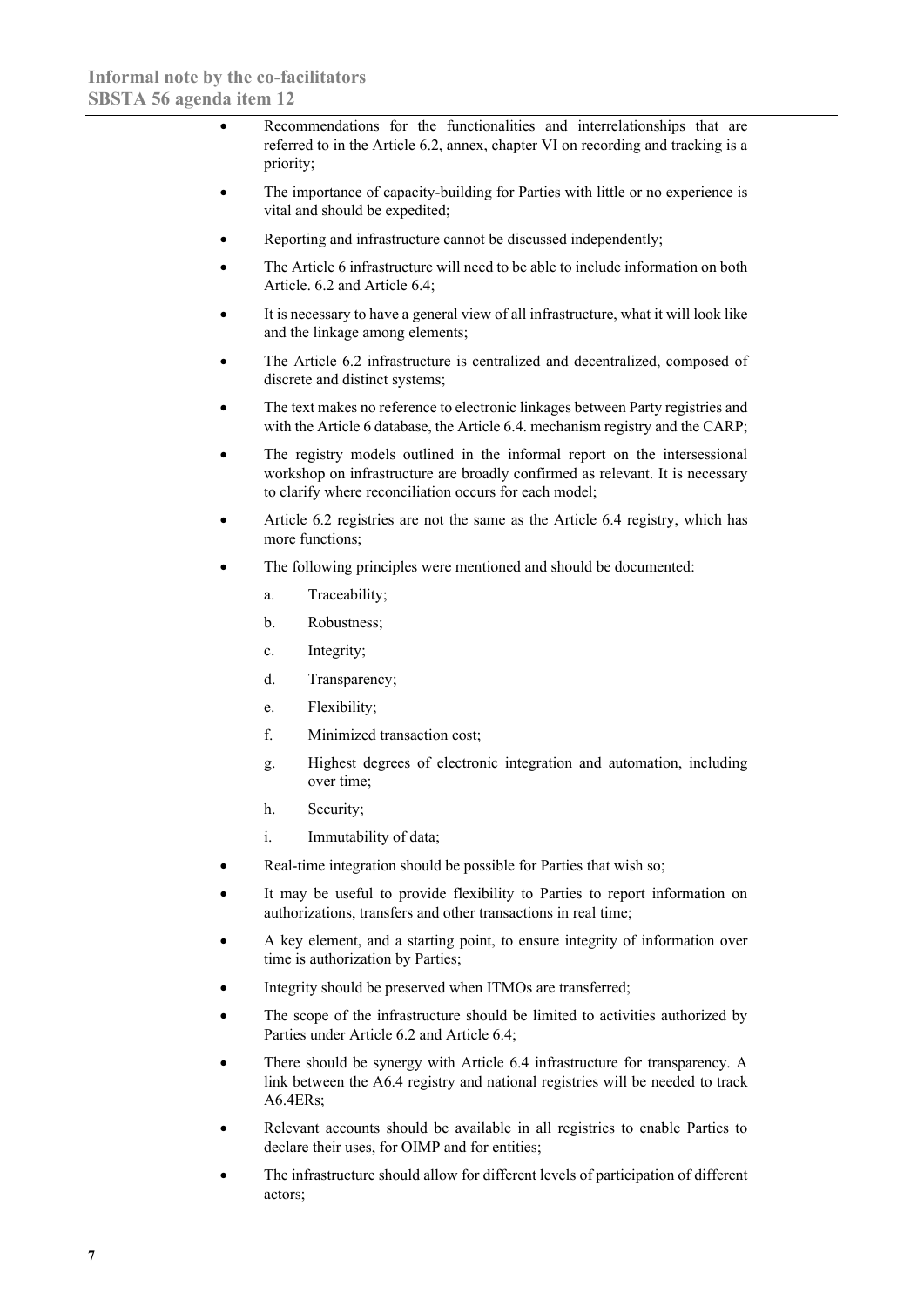- Recommendations for the functionalities and interrelationships that are referred to in the Article 6.2, annex, chapter VI on recording and tracking is a priority;
- The importance of capacity-building for Parties with little or no experience is vital and should be expedited;
- Reporting and infrastructure cannot be discussed independently;
- The Article 6 infrastructure will need to be able to include information on both Article. 6.2 and Article 6.4;
- It is necessary to have a general view of all infrastructure, what it will look like and the linkage among elements;
- The Article 6.2 infrastructure is centralized and decentralized, composed of discrete and distinct systems;
- The text makes no reference to electronic linkages between Party registries and with the Article 6 database, the Article 6.4. mechanism registry and the CARP;
- The registry models outlined in the informal report on the intersessional workshop on infrastructure are broadly confirmed as relevant. It is necessary to clarify where reconciliation occurs for each model;
- Article 6.2 registries are not the same as the Article 6.4 registry, which has more functions;
- The following principles were mentioned and should be documented:
	- a. Traceability;
	- b. Robustness;
	- c. Integrity;
	- d. Transparency;
	- e. Flexibility;
	- f. Minimized transaction cost;
	- g. Highest degrees of electronic integration and automation, including over time;
	- h. Security;
	- i. Immutability of data;
- Real-time integration should be possible for Parties that wish so;
- It may be useful to provide flexibility to Parties to report information on authorizations, transfers and other transactions in real time;
- A key element, and a starting point, to ensure integrity of information over time is authorization by Parties;
- Integrity should be preserved when ITMOs are transferred;
- The scope of the infrastructure should be limited to activities authorized by Parties under Article 6.2 and Article 6.4;
- There should be synergy with Article 6.4 infrastructure for transparency. A link between the A6.4 registry and national registries will be needed to track A6.4ERs;
- Relevant accounts should be available in all registries to enable Parties to declare their uses, for OIMP and for entities;
- The infrastructure should allow for different levels of participation of different actors;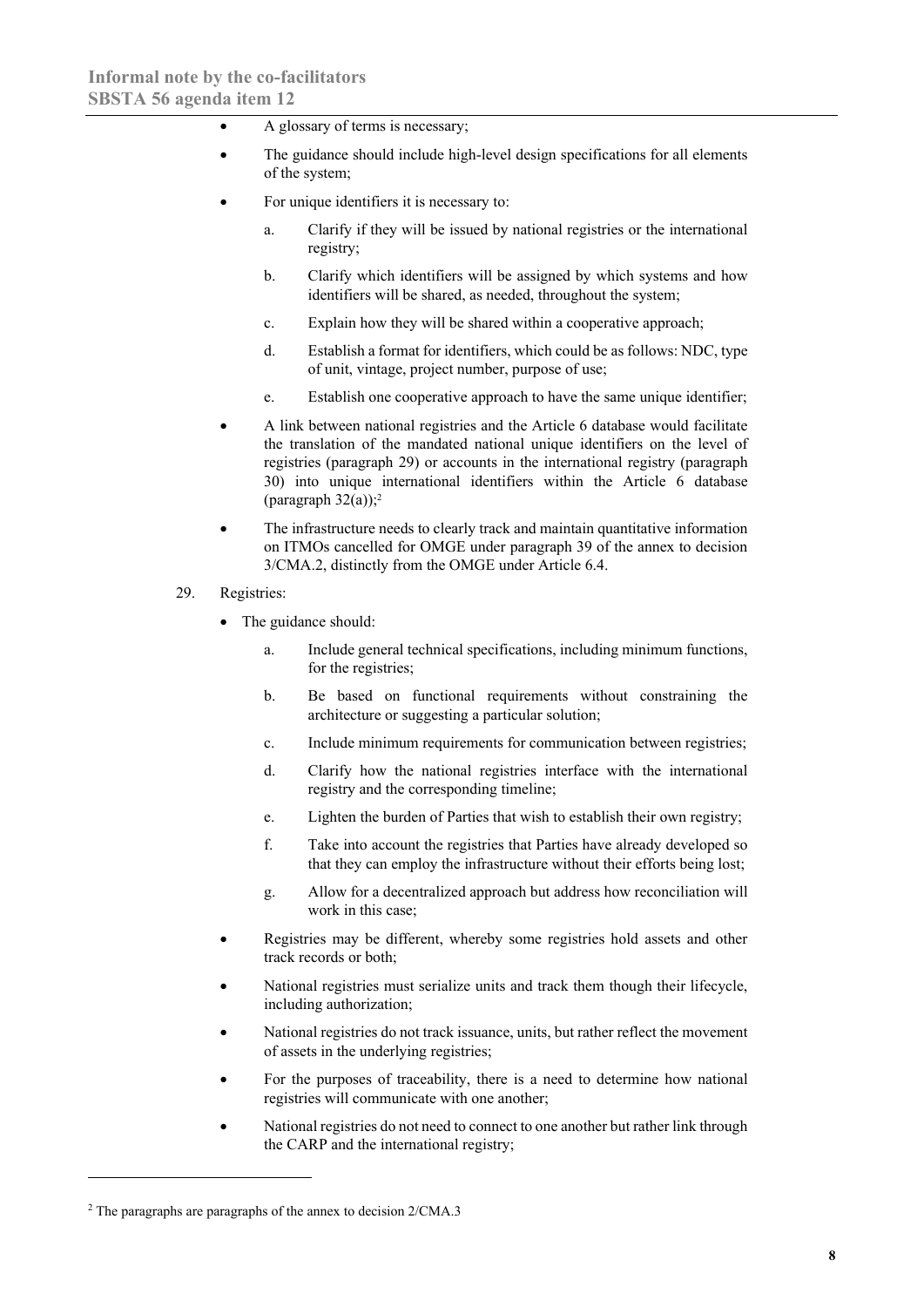- A glossary of terms is necessary;
- The guidance should include high-level design specifications for all elements of the system;
- For unique identifiers it is necessary to:
	- a. Clarify if they will be issued by national registries or the international registry;
	- b. Clarify which identifiers will be assigned by which systems and how identifiers will be shared, as needed, throughout the system;
	- c. Explain how they will be shared within a cooperative approach;
	- d. Establish a format for identifiers, which could be as follows: NDC, type of unit, vintage, project number, purpose of use;
	- e. Establish one cooperative approach to have the same unique identifier;
- A link between national registries and the Article 6 database would facilitate the translation of the mandated national unique identifiers on the level of registries (paragraph 29) or accounts in the international registry (paragraph 30) into unique international identifiers within the Article 6 database (paragraph 32(a)); 2
- The infrastructure needs to clearly track and maintain quantitative information on ITMOs cancelled for OMGE under paragraph 39 of the annex to decision 3/CMA.2, distinctly from the OMGE under Article 6.4.
- 29. Registries:
	- The guidance should:
		- a. Include general technical specifications, including minimum functions, for the registries;
		- b. Be based on functional requirements without constraining the architecture or suggesting a particular solution;
		- c. Include minimum requirements for communication between registries;
		- d. Clarify how the national registries interface with the international registry and the corresponding timeline;
		- e. Lighten the burden of Parties that wish to establish their own registry;
		- f. Take into account the registries that Parties have already developed so that they can employ the infrastructure without their efforts being lost;
		- g. Allow for a decentralized approach but address how reconciliation will work in this case;
	- Registries may be different, whereby some registries hold assets and other track records or both;
	- National registries must serialize units and track them though their lifecycle, including authorization;
	- National registries do not track issuance, units, but rather reflect the movement of assets in the underlying registries;
	- For the purposes of traceability, there is a need to determine how national registries will communicate with one another;
	- National registries do not need to connect to one another but rather link through the CARP and the international registry;

<sup>2</sup> The paragraphs are paragraphs of the annex to decision 2/CMA.3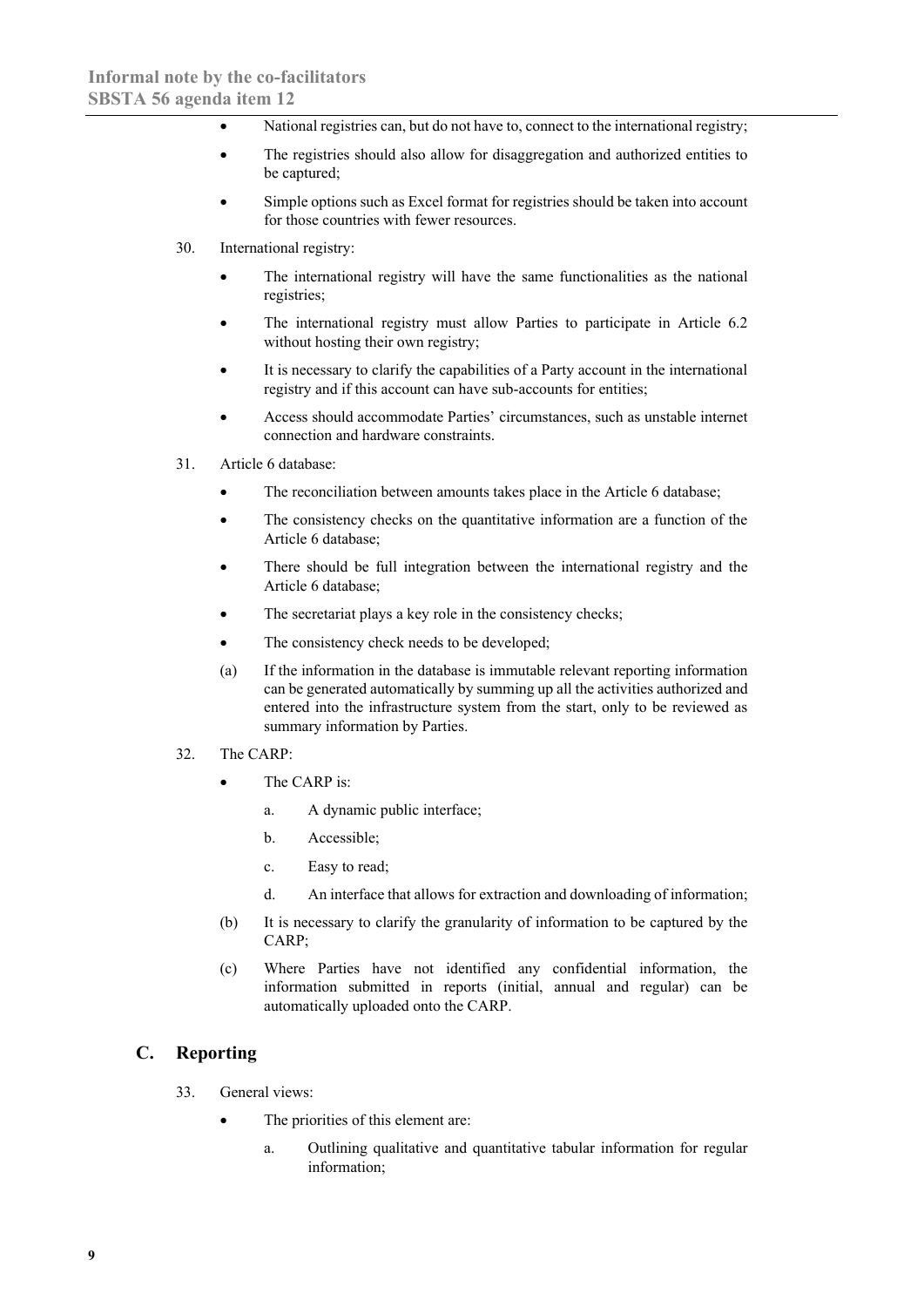- National registries can, but do not have to, connect to the international registry;
- The registries should also allow for disaggregation and authorized entities to be captured;
- Simple options such as Excel format for registries should be taken into account for those countries with fewer resources.
- 30. International registry:
	- The international registry will have the same functionalities as the national registries;
	- The international registry must allow Parties to participate in Article 6.2 without hosting their own registry;
	- It is necessary to clarify the capabilities of a Party account in the international registry and if this account can have sub-accounts for entities;
	- Access should accommodate Parties' circumstances, such as unstable internet connection and hardware constraints.
- 31. Article 6 database:
	- The reconciliation between amounts takes place in the Article 6 database;
	- The consistency checks on the quantitative information are a function of the Article 6 database;
	- There should be full integration between the international registry and the Article 6 database;
	- The secretariat plays a key role in the consistency checks;
	- The consistency check needs to be developed;
	- (a) If the information in the database is immutable relevant reporting information can be generated automatically by summing up all the activities authorized and entered into the infrastructure system from the start, only to be reviewed as summary information by Parties.
- 32. The CARP:
	- The CARP is:
		- a. A dynamic public interface;
		- b. Accessible;
		- c. Easy to read;
		- d. An interface that allows for extraction and downloading of information;
	- (b) It is necessary to clarify the granularity of information to be captured by the CARP;
	- (c) Where Parties have not identified any confidential information, the information submitted in reports (initial, annual and regular) can be automatically uploaded onto the CARP.

### **C. Reporting**

- 33. General views:
	- The priorities of this element are:
		- a. Outlining qualitative and quantitative tabular information for regular information;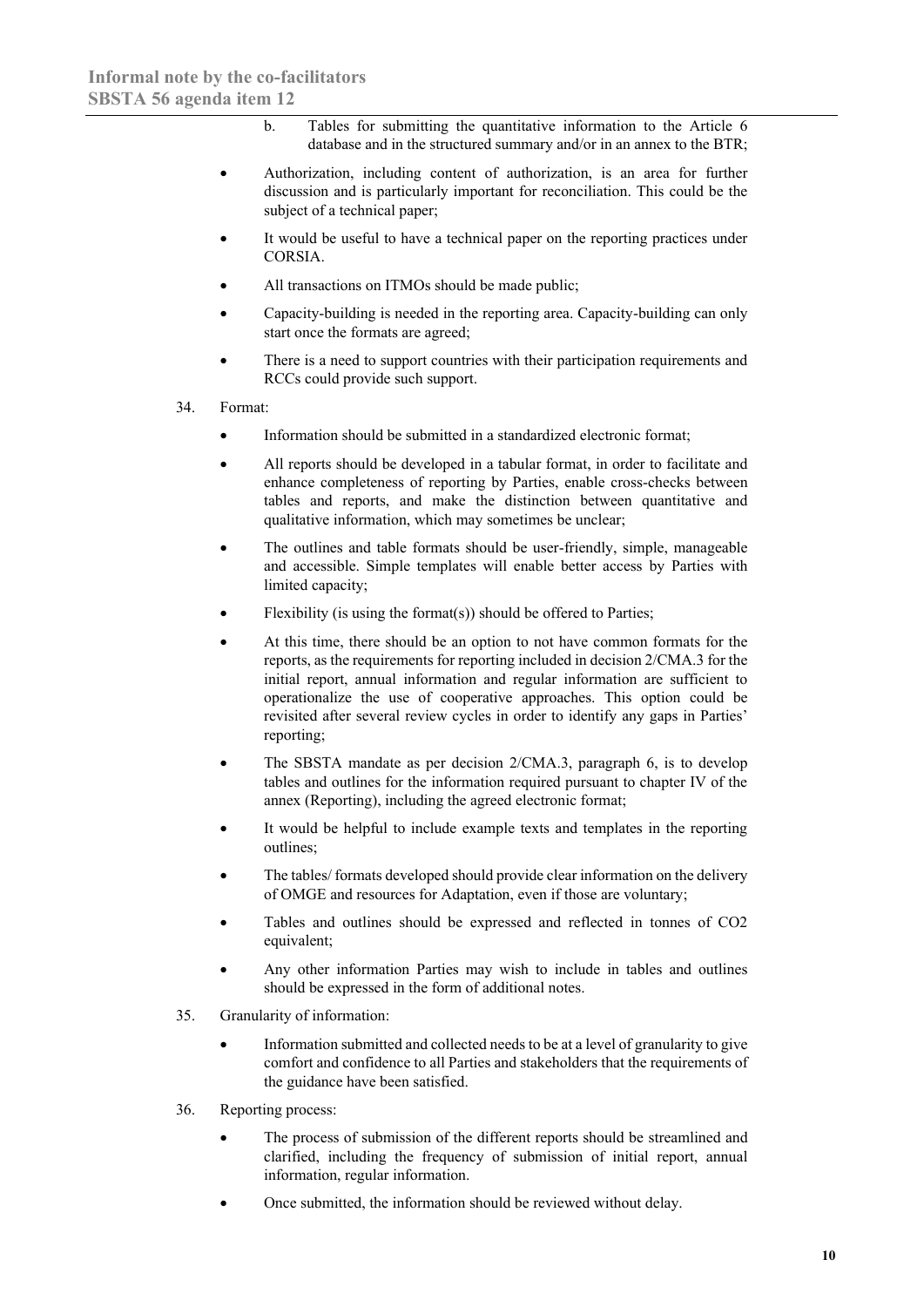- b. Tables for submitting the quantitative information to the Article 6 database and in the structured summary and/or in an annex to the BTR;
- Authorization, including content of authorization, is an area for further discussion and is particularly important for reconciliation. This could be the subject of a technical paper;
- It would be useful to have a technical paper on the reporting practices under CORSIA.
- All transactions on ITMOs should be made public;
- Capacity-building is needed in the reporting area. Capacity-building can only start once the formats are agreed;
- There is a need to support countries with their participation requirements and RCCs could provide such support.
- 34. Format:
	- Information should be submitted in a standardized electronic format:
	- All reports should be developed in a tabular format, in order to facilitate and enhance completeness of reporting by Parties, enable cross-checks between tables and reports, and make the distinction between quantitative and qualitative information, which may sometimes be unclear;
	- The outlines and table formats should be user-friendly, simple, manageable and accessible. Simple templates will enable better access by Parties with limited capacity;
	- Flexibility (is using the format(s)) should be offered to Parties;
	- At this time, there should be an option to not have common formats for the reports, as the requirements for reporting included in decision 2/CMA.3 for the initial report, annual information and regular information are sufficient to operationalize the use of cooperative approaches. This option could be revisited after several review cycles in order to identify any gaps in Parties' reporting;
	- The SBSTA mandate as per decision 2/CMA.3, paragraph 6, is to develop tables and outlines for the information required pursuant to chapter IV of the annex (Reporting), including the agreed electronic format;
	- It would be helpful to include example texts and templates in the reporting outlines;
	- The tables/ formats developed should provide clear information on the delivery of OMGE and resources for Adaptation, even if those are voluntary;
	- Tables and outlines should be expressed and reflected in tonnes of CO2 equivalent;
	- Any other information Parties may wish to include in tables and outlines should be expressed in the form of additional notes.
- 35. Granularity of information:
	- Information submitted and collected needs to be at a level of granularity to give comfort and confidence to all Parties and stakeholders that the requirements of the guidance have been satisfied.
- 36. Reporting process:
	- The process of submission of the different reports should be streamlined and clarified, including the frequency of submission of initial report, annual information, regular information.
	- Once submitted, the information should be reviewed without delay.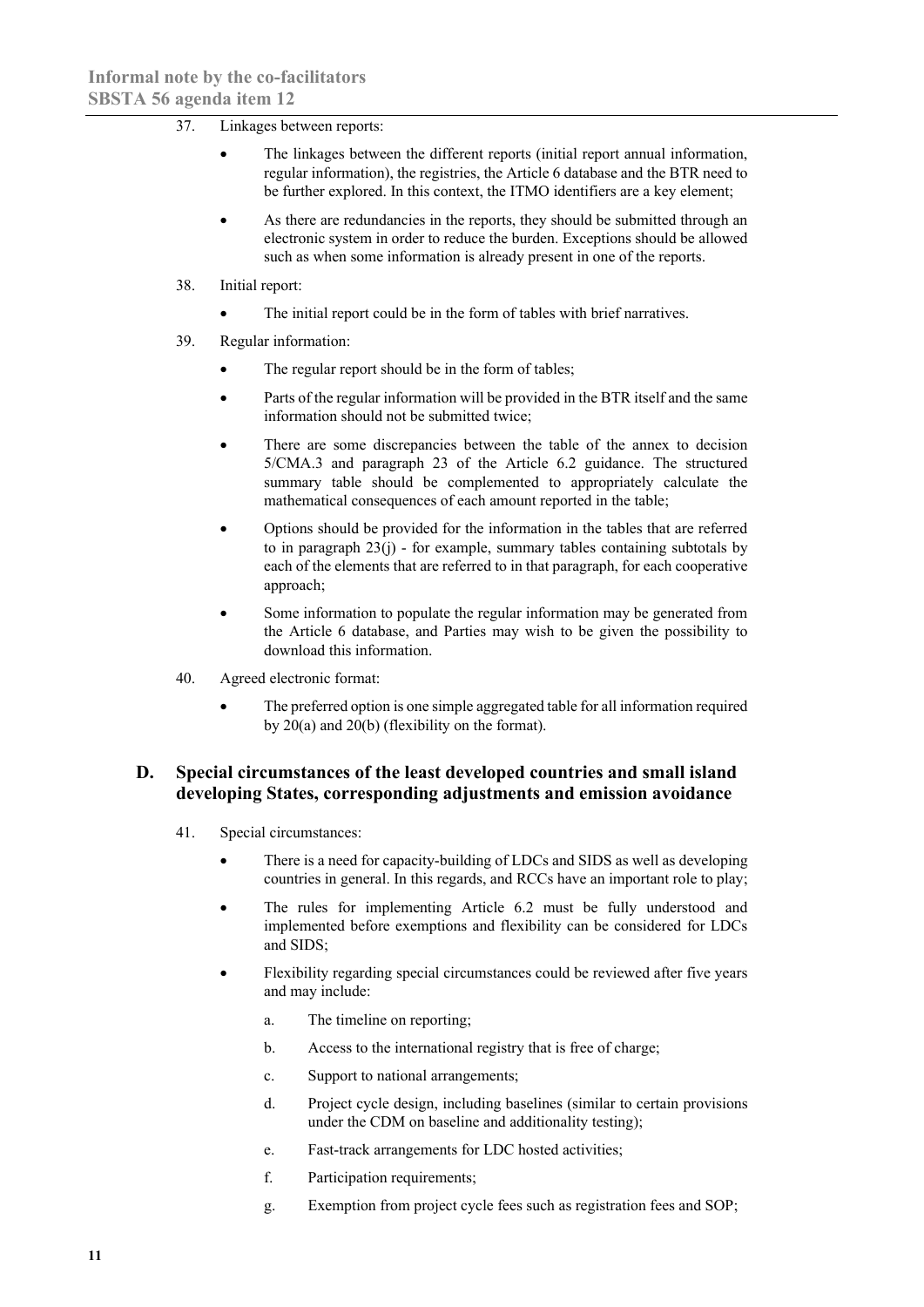- 37. Linkages between reports:
	- The linkages between the different reports (initial report annual information, regular information), the registries, the Article 6 database and the BTR need to be further explored. In this context, the ITMO identifiers are a key element;
	- As there are redundancies in the reports, they should be submitted through an electronic system in order to reduce the burden. Exceptions should be allowed such as when some information is already present in one of the reports.
- 38. Initial report:
	- The initial report could be in the form of tables with brief narratives.
- 39. Regular information:
	- The regular report should be in the form of tables;
	- Parts of the regular information will be provided in the BTR itself and the same information should not be submitted twice;
	- There are some discrepancies between the table of the annex to decision 5/CMA.3 and paragraph 23 of the Article 6.2 guidance. The structured summary table should be complemented to appropriately calculate the mathematical consequences of each amount reported in the table;
	- Options should be provided for the information in the tables that are referred to in paragraph  $23(i)$  - for example, summary tables containing subtotals by each of the elements that are referred to in that paragraph, for each cooperative approach;
	- Some information to populate the regular information may be generated from the Article 6 database, and Parties may wish to be given the possibility to download this information.
- 40. Agreed electronic format:
	- The preferred option is one simple aggregated table for all information required by 20(a) and 20(b) (flexibility on the format).

### **D. Special circumstances of the least developed countries and small island developing States, corresponding adjustments and emission avoidance**

- 41. Special circumstances:
	- There is a need for capacity-building of LDCs and SIDS as well as developing countries in general. In this regards, and RCCs have an important role to play;
	- The rules for implementing Article 6.2 must be fully understood and implemented before exemptions and flexibility can be considered for LDCs and SIDS;
	- Flexibility regarding special circumstances could be reviewed after five years and may include:
		- a. The timeline on reporting;
		- b. Access to the international registry that is free of charge;
		- c. Support to national arrangements;
		- d. Project cycle design, including baselines (similar to certain provisions under the CDM on baseline and additionality testing);
		- e. Fast-track arrangements for LDC hosted activities;
		- f. Participation requirements;
		- g. Exemption from project cycle fees such as registration fees and SOP;